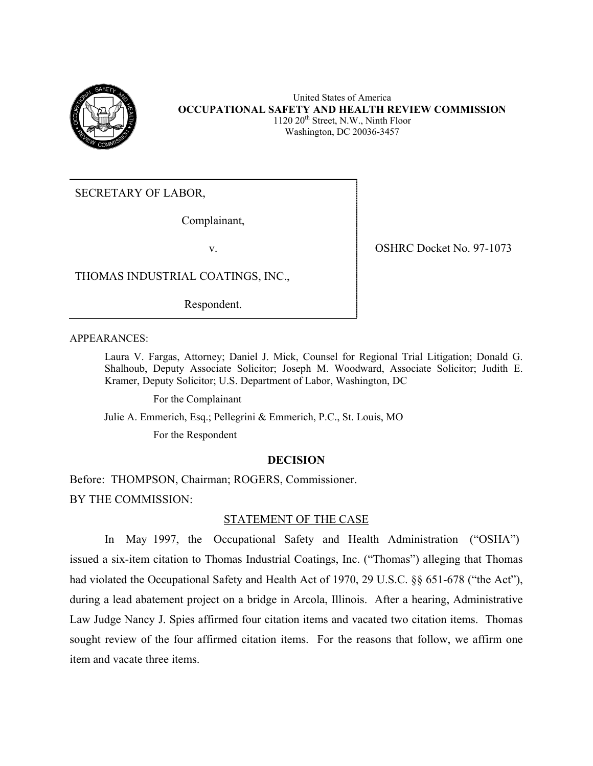

United States of America **OCCUPATIONAL SAFETY AND HEALTH REVIEW COMMISSION**  $1120 \ 20<sup>th</sup>$  Street, N.W., Ninth Floor Washington, DC 20036-3457

SECRETARY OF LABOR,

Complainant,

v. OSHRC Docket No. 97-1073

THOMAS INDUSTRIAL COATINGS, INC.,

Respondent.

APPEARANCES:

Laura V. Fargas, Attorney; Daniel J. Mick, Counsel for Regional Trial Litigation; Donald G. Shalhoub, Deputy Associate Solicitor; Joseph M. Woodward, Associate Solicitor; Judith E. Kramer, Deputy Solicitor; U.S. Department of Labor, Washington, DC

For the Complainant

Julie A. Emmerich, Esq.; Pellegrini & Emmerich, P.C., St. Louis, MO

For the Respondent

### **DECISION**

Before: THOMPSON, Chairman; ROGERS, Commissioner.

BY THE COMMISSION:

## STATEMENT OF THE CASE

 In May 1997, the Occupational Safety and Health Administration ("OSHA") issued a six-item citation to Thomas Industrial Coatings, Inc. ("Thomas") alleging that Thomas had violated the Occupational Safety and Health Act of 1970, 29 U.S.C. §§ 651-678 ("the Act"), during a lead abatement project on a bridge in Arcola, Illinois. After a hearing, Administrative Law Judge Nancy J. Spies affirmed four citation items and vacated two citation items. Thomas sought review of the four affirmed citation items. For the reasons that follow, we affirm one item and vacate three items.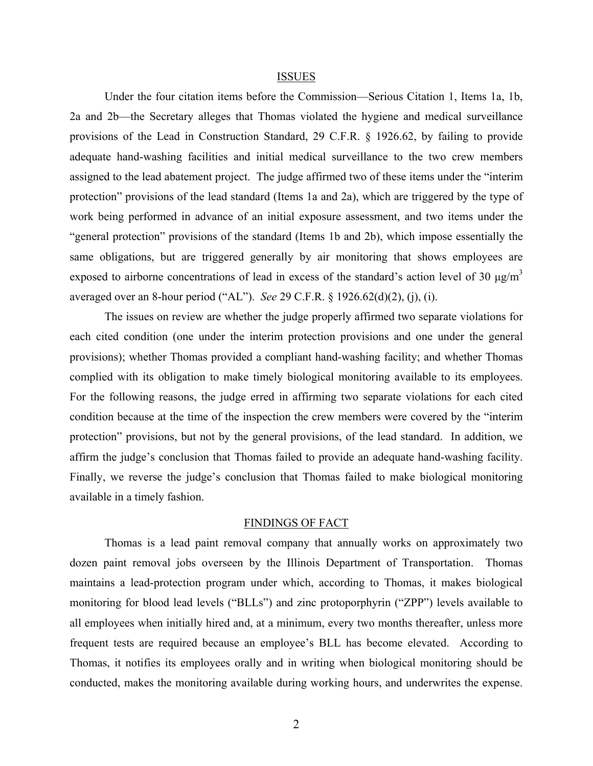#### ISSUES

Under the four citation items before the Commission—Serious Citation 1, Items 1a, 1b, 2a and 2b—the Secretary alleges that Thomas violated the hygiene and medical surveillance provisions of the Lead in Construction Standard, 29 C.F.R. § 1926.62, by failing to provide adequate hand-washing facilities and initial medical surveillance to the two crew members assigned to the lead abatement project. The judge affirmed two of these items under the "interim protection" provisions of the lead standard (Items 1a and 2a), which are triggered by the type of work being performed in advance of an initial exposure assessment, and two items under the "general protection" provisions of the standard (Items 1b and 2b), which impose essentially the same obligations, but are triggered generally by air monitoring that shows employees are exposed to airborne concentrations of lead in excess of the standard's action level of 30  $\mu$ g/m<sup>3</sup> averaged over an 8-hour period ("AL"). *See* 29 C.F.R. § 1926.62(d)(2), (j), (i).

The issues on review are whether the judge properly affirmed two separate violations for each cited condition (one under the interim protection provisions and one under the general provisions); whether Thomas provided a compliant hand-washing facility; and whether Thomas complied with its obligation to make timely biological monitoring available to its employees. For the following reasons, the judge erred in affirming two separate violations for each cited condition because at the time of the inspection the crew members were covered by the "interim protection" provisions, but not by the general provisions, of the lead standard. In addition, we affirm the judge's conclusion that Thomas failed to provide an adequate hand-washing facility. Finally, we reverse the judge's conclusion that Thomas failed to make biological monitoring available in a timely fashion.

#### FINDINGS OF FACT

Thomas is a lead paint removal company that annually works on approximately two dozen paint removal jobs overseen by the Illinois Department of Transportation. Thomas maintains a lead-protection program under which, according to Thomas, it makes biological monitoring for blood lead levels ("BLLs") and zinc protoporphyrin ("ZPP") levels available to all employees when initially hired and, at a minimum, every two months thereafter, unless more frequent tests are required because an employee's BLL has become elevated. According to Thomas, it notifies its employees orally and in writing when biological monitoring should be conducted, makes the monitoring available during working hours, and underwrites the expense.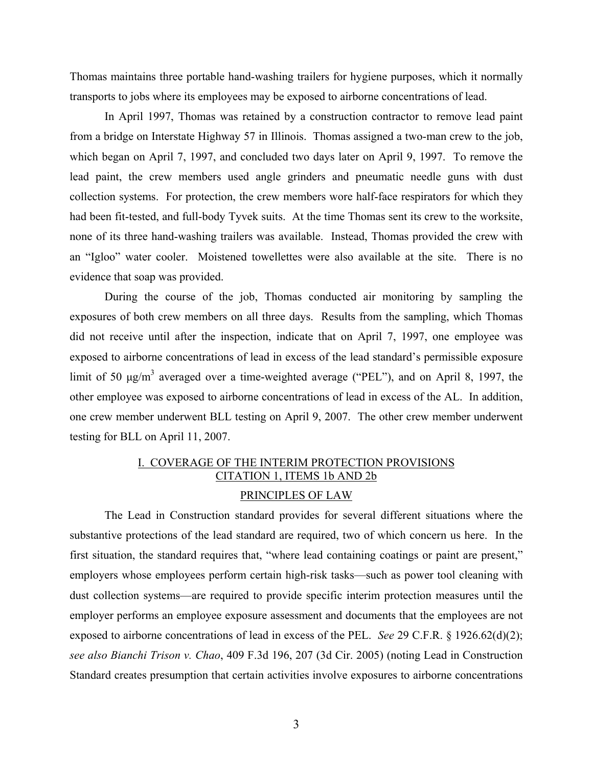Thomas maintains three portable hand-washing trailers for hygiene purposes, which it normally transports to jobs where its employees may be exposed to airborne concentrations of lead.

In April 1997, Thomas was retained by a construction contractor to remove lead paint from a bridge on Interstate Highway 57 in Illinois. Thomas assigned a two-man crew to the job, which began on April 7, 1997, and concluded two days later on April 9, 1997. To remove the lead paint, the crew members used angle grinders and pneumatic needle guns with dust collection systems. For protection, the crew members wore half-face respirators for which they had been fit-tested, and full-body Tyvek suits. At the time Thomas sent its crew to the worksite, none of its three hand-washing trailers was available. Instead, Thomas provided the crew with an "Igloo" water cooler. Moistened towellettes were also available at the site. There is no evidence that soap was provided.

During the course of the job, Thomas conducted air monitoring by sampling the exposures of both crew members on all three days. Results from the sampling, which Thomas did not receive until after the inspection, indicate that on April 7, 1997, one employee was exposed to airborne concentrations of lead in excess of the lead standard's permissible exposure limit of 50  $\mu$ g/m<sup>3</sup> averaged over a time-weighted average ("PEL"), and on April 8, 1997, the other employee was exposed to airborne concentrations of lead in excess of the AL. In addition, one crew member underwent BLL testing on April 9, 2007. The other crew member underwent testing for BLL on April 11, 2007.

# I. COVERAGE OF THE INTERIM PROTECTION PROVISIONS CITATION 1, ITEMS 1b AND 2b CITATION 1, ITEMS 1b AND 2b

## PRINCIPLES OF LAW

The Lead in Construction standard provides for several different situations where the substantive protections of the lead standard are required, two of which concern us here. In the first situation, the standard requires that, "where lead containing coatings or paint are present," employers whose employees perform certain high-risk tasks—such as power tool cleaning with dust collection systems—are required to provide specific interim protection measures until the employer performs an employee exposure assessment and documents that the employees are not exposed to airborne concentrations of lead in excess of the PEL. *See* 29 C.F.R. § 1926.62(d)(2); *see also Bianchi Trison v. Chao*, 409 F.3d 196, 207 (3d Cir. 2005) (noting Lead in Construction Standard creates presumption that certain activities involve exposures to airborne concentrations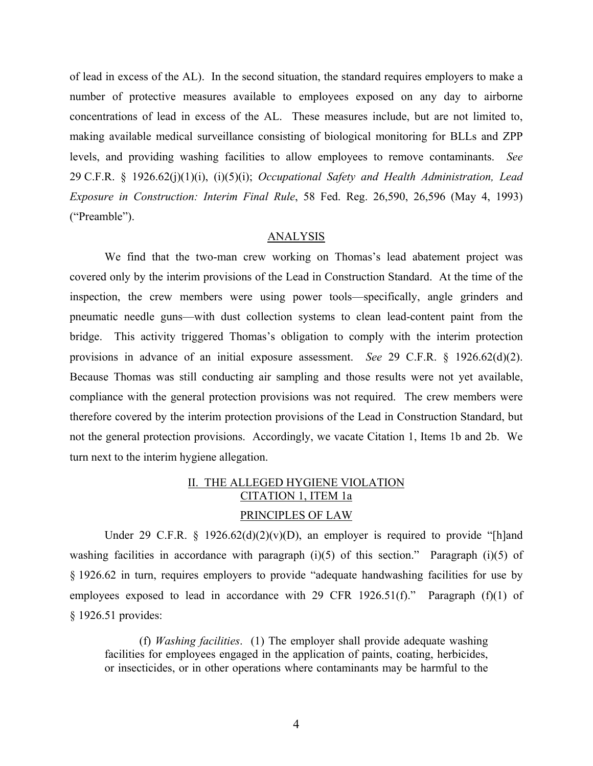levels, and providing washing facilities to allow employees to remove contaminants. *See*  of lead in excess of the AL). In the second situation, the standard requires employers to make a number of protective measures available to employees exposed on any day to airborne concentrations of lead in excess of the AL. These measures include, but are not limited to, making available medical surveillance consisting of biological monitoring for BLLs and ZPP 29 C.F.R. § 1926.62(j)(1)(i), (i)(5)(i); *Occupational Safety and Health Administration, Lead Exposure in Construction: Interim Final Rule*, 58 Fed. Reg. 26,590, 26,596 (May 4, 1993) ("Preamble").

#### ANALYSIS

We find that the two-man crew working on Thomas's lead abatement project was covered only by the interim provisions of the Lead in Construction Standard. At the time of the inspection, the crew members were using power tools—specifically, angle grinders and pneumatic needle guns—with dust collection systems to clean lead-content paint from the bridge. This activity triggered Thomas's obligation to comply with the interim protection provisions in advance of an initial exposure assessment. *See* 29 C.F.R. § 1926.62(d)(2). Because Thomas was still conducting air sampling and those results were not yet available, compliance with the general protection provisions was not required. The crew members were therefore covered by the interim protection provisions of the Lead in Construction Standard, but not the general protection provisions. Accordingly, we vacate Citation 1, Items 1b and 2b. We turn next to the interim hygiene allegation.

# II. THE ALLEGED HYGIENE VIOLATION CITATION 1, ITEM 1a PRINCIPLES OF LAW

Under 29 C.F.R. § 1926.62(d)(2)(v)(D), an employer is required to provide "[h]and washing facilities in accordance with paragraph  $(i)(5)$  of this section." Paragraph  $(i)(5)$  of § 1926.62 in turn, requires employers to provide "adequate handwashing facilities for use by employees exposed to lead in accordance with 29 CFR 1926.51(f)." Paragraph (f)(1) of § 1926.51 provides:

(f) *Washing facilities*. (1) The employer shall provide adequate washing facilities for employees engaged in the application of paints, coating, herbicides, or insecticides, or in other operations where contaminants may be harmful to the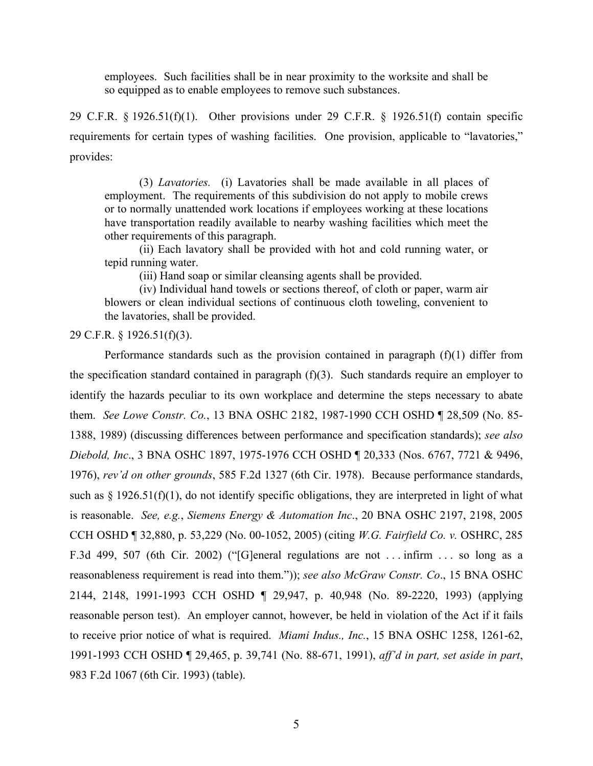employees. Such facilities shall be in near proximity to the worksite and shall be so equipped as to enable employees to remove such substances.

29 C.F.R. § 1926.51(f)(1). Other provisions under 29 C.F.R. § 1926.51(f) contain specific requirements for certain types of washing facilities. One provision, applicable to "lavatories," provides:

(3) *Lavatories.* (i) Lavatories shall be made available in all places of employment. The requirements of this subdivision do not apply to mobile crews or to normally unattended work locations if employees working at these locations have transportation readily available to nearby washing facilities which meet the other requirements of this paragraph.

(ii) Each lavatory shall be provided with hot and cold running water, or tepid running water.

(iii) Hand soap or similar cleansing agents shall be provided.

(iv) Individual hand towels or sections thereof, of cloth or paper, warm air blowers or clean individual sections of continuous cloth toweling, convenient to the lavatories, shall be provided.

29 C.F.R. § 1926.51(f)(3).

Performance standards such as the provision contained in paragraph  $(f)(1)$  differ from the specification standard contained in paragraph  $(f)(3)$ . Such standards require an employer to identify the hazards peculiar to its own workplace and determine the steps necessary to abate them. *See Lowe Constr. Co.*, 13 BNA OSHC 2182, 1987-1990 CCH OSHD ¶ 28,509 (No. 85 1388, 1989) (discussing differences between performance and specification standards); *see also Diebold, Inc*., 3 BNA OSHC 1897, 1975-1976 CCH OSHD ¶ 20,333 (Nos. 6767, 7721 & 9496, 1976), *rev'd on other grounds*, 585 F.2d 1327 (6th Cir. 1978). Because performance standards, such as  $\S$  1926.51(f)(1), do not identify specific obligations, they are interpreted in light of what is reasonable. *See, e.g.*, *Siemens Energy & Automation Inc*., 20 BNA OSHC 2197, 2198, 2005 CCH OSHD ¶ 32,880, p. 53,229 (No. 00-1052, 2005) (citing *W.G. Fairfield Co. v.* OSHRC, 285 F.3d 499, 507 (6th Cir. 2002) ("[G]eneral regulations are not . . . infirm . . . so long as a reasonableness requirement is read into them.")); *see also McGraw Constr. Co*., 15 BNA OSHC 2144, 2148, 1991-1993 CCH OSHD ¶ 29,947, p. 40,948 (No. 89-2220, 1993) (applying reasonable person test). An employer cannot, however, be held in violation of the Act if it fails to receive prior notice of what is required. *Miami Indus., Inc.*, 15 BNA OSHC 1258, 1261-62, 1991-1993 CCH OSHD ¶ 29,465, p. 39,741 (No. 88-671, 1991), *aff'd in part, set aside in part*, 983 F.2d 1067 (6th Cir. 1993) (table).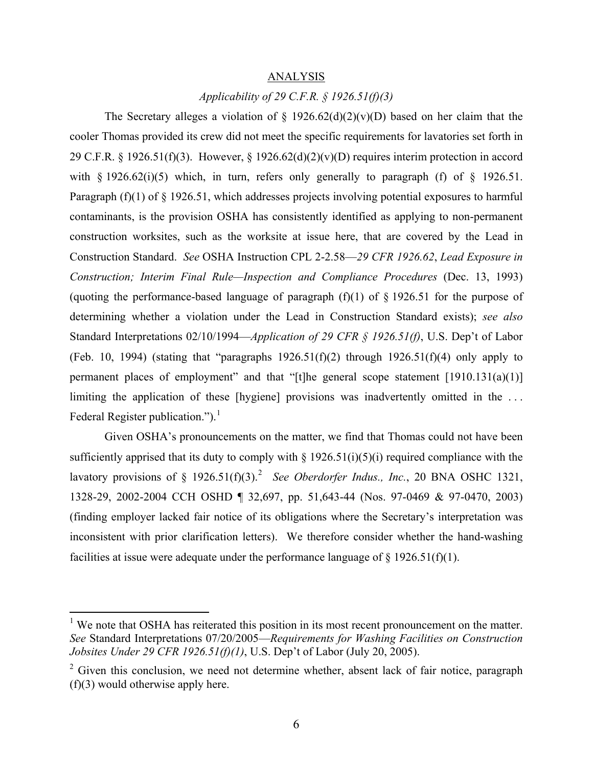#### ANALYSIS

# *Applicability of 29 C.F.R. § 1926.51(f)(3)*

Federal Register publication.").<sup>1</sup> The Secretary alleges a violation of  $\S$  1926.62(d)(2)(v)(D) based on her claim that the cooler Thomas provided its crew did not meet the specific requirements for lavatories set forth in 29 C.F.R. § 1926.51(f)(3). However, § 1926.62(d)(2)(v)(D) requires interim protection in accord with  $\S$  1926.62(i)(5) which, in turn, refers only generally to paragraph (f) of  $\S$  1926.51. Paragraph (f)(1) of § 1926.51, which addresses projects involving potential exposures to harmful contaminants, is the provision OSHA has consistently identified as applying to non-permanent construction worksites, such as the worksite at issue here, that are covered by the Lead in Construction Standard. *See* OSHA Instruction CPL 2-2.58—*29 CFR 1926.62*, *Lead Exposure in Construction; Interim Final Rule—Inspection and Compliance Procedures (Dec. 13, 1993)* (quoting the performance-based language of paragraph  $(f)(1)$  of § 1926.51 for the purpose of determining whether a violation under the Lead in Construction Standard exists); *see also*  Standard Interpretations 02/10/1994—*Application of 29 CFR § 1926.51(f)*, U.S. Dep't of Labor (Feb. 10, 1994) (stating that "paragraphs  $1926.51(f)(2)$  through  $1926.51(f)(4)$  only apply to permanent places of employment" and that "[t]he general scope statement  $[1910.131(a)(1)]$ limiting the application of these [hygiene] provisions was inadvertently omitted in the ...

lavatory provisions of  $\S$  1926.51(f)(3).<sup>2</sup> *See Oberdorfer Indus., Inc.*, 20 BNA OSHC 1321, Given OSHA's pronouncements on the matter, we find that Thomas could not have been sufficiently apprised that its duty to comply with  $\S 1926.51(i)(5)(i)$  required compliance with the 1328-29, 2002-2004 CCH OSHD ¶ 32,697, pp. 51,643-44 (Nos. 97-0469 & 97-0470, 2003) (finding employer lacked fair notice of its obligations where the Secretary's interpretation was inconsistent with prior clarification letters). We therefore consider whether the hand-washing facilities at issue were adequate under the performance language of  $\S 1926.51(f)(1)$ .

 $\overline{a}$ 

<span id="page-5-0"></span><sup>&</sup>lt;sup>1</sup> We note that OSHA has reiterated this position in its most recent pronouncement on the matter. *See* Standard Interpretations 07/20/2005—*Requirements for Washing Facilities on Construction Jobsites Under 29 CFR 1926.51(f)(1)*, U.S. Dep't of Labor (July 20, 2005).

<span id="page-5-1"></span> $2$  Given this conclusion, we need not determine whether, absent lack of fair notice, paragraph (f)(3) would otherwise apply here.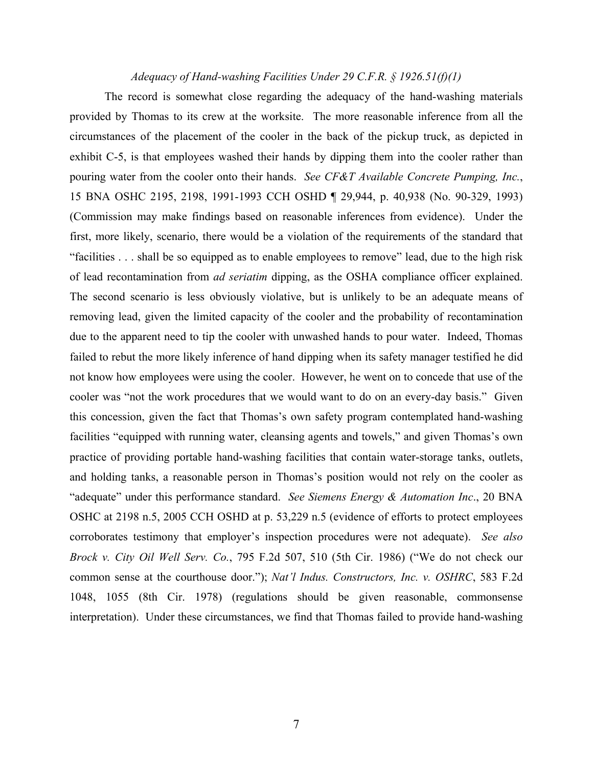### *Adequacy of Hand-washing Facilities Under 29 C.F.R. § 1926.51(f)(1)*

The record is somewhat close regarding the adequacy of the hand-washing materials provided by Thomas to its crew at the worksite. The more reasonable inference from all the circumstances of the placement of the cooler in the back of the pickup truck, as depicted in exhibit C-5, is that employees washed their hands by dipping them into the cooler rather than pouring water from the cooler onto their hands. *See CF&T Available Concrete Pumping, Inc.*, 15 BNA OSHC 2195, 2198, 1991-1993 CCH OSHD ¶ 29,944, p. 40,938 (No. 90-329, 1993) (Commission may make findings based on reasonable inferences from evidence). Under the first, more likely, scenario, there would be a violation of the requirements of the standard that "facilities . . . shall be so equipped as to enable employees to remove" lead, due to the high risk of lead recontamination from *ad seriatim* dipping, as the OSHA compliance officer explained. The second scenario is less obviously violative, but is unlikely to be an adequate means of removing lead, given the limited capacity of the cooler and the probability of recontamination due to the apparent need to tip the cooler with unwashed hands to pour water. Indeed, Thomas failed to rebut the more likely inference of hand dipping when its safety manager testified he did not know how employees were using the cooler. However, he went on to concede that use of the cooler was "not the work procedures that we would want to do on an every-day basis." Given this concession, given the fact that Thomas's own safety program contemplated hand-washing facilities "equipped with running water, cleansing agents and towels," and given Thomas's own practice of providing portable hand-washing facilities that contain water-storage tanks, outlets, and holding tanks, a reasonable person in Thomas's position would not rely on the cooler as "adequate" under this performance standard. *See Siemens Energy & Automation Inc*., 20 BNA OSHC at 2198 n.5, 2005 CCH OSHD at p. 53,229 n.5 (evidence of efforts to protect employees corroborates testimony that employer's inspection procedures were not adequate). *See also Brock v. City Oil Well Serv. Co.*, 795 F.2d 507, 510 (5th Cir. 1986) ("We do not check our common sense at the courthouse door."); *Nat'l Indus. Constructors, Inc. v. OSHRC*, 583 F.2d 1048, 1055 (8th Cir. 1978) (regulations should be given reasonable, commonsense interpretation). Under these circumstances, we find that Thomas failed to provide hand-washing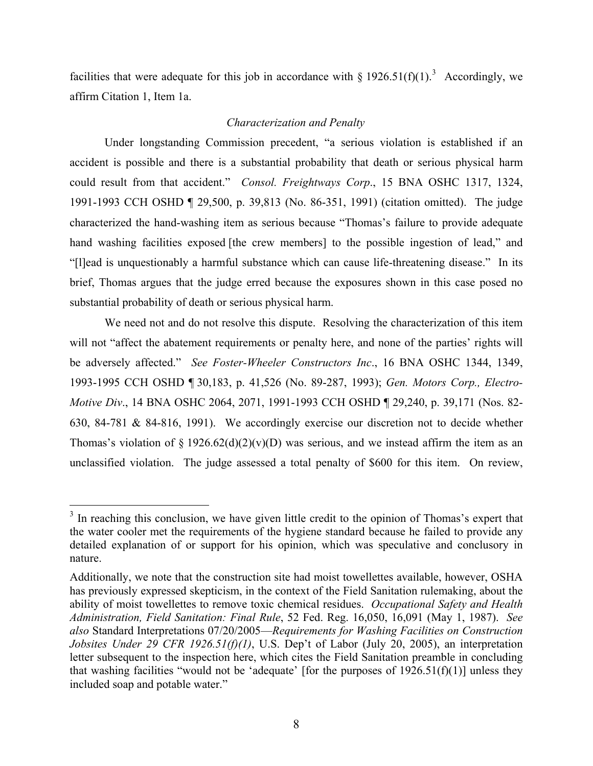facilities that were adequate for this job in accordance with  $\S 1926.51(f)(1)$ <sup>[3](#page-7-0)</sup> Accordingly, we affirm Citation 1, Item 1a.

# *Characterization and Penalty*

Under longstanding Commission precedent, "a serious violation is established if an accident is possible and there is a substantial probability that death or serious physical harm could result from that accident." *Consol. Freightways Corp*., 15 BNA OSHC 1317, 1324, 1991-1993 CCH OSHD ¶ 29,500, p. 39,813 (No. 86-351, 1991) (citation omitted). The judge characterized the hand-washing item as serious because "Thomas's failure to provide adequate hand washing facilities exposed [the crew members] to the possible ingestion of lead," and "[l]ead is unquestionably a harmful substance which can cause life-threatening disease." In its brief, Thomas argues that the judge erred because the exposures shown in this case posed no substantial probability of death or serious physical harm.

We need not and do not resolve this dispute. Resolving the characterization of this item will not "affect the abatement requirements or penalty here, and none of the parties' rights will be adversely affected." *See Foster-Wheeler Constructors Inc*., 16 BNA OSHC 1344, 1349, 1993-1995 CCH OSHD ¶ 30,183, p. 41,526 (No. 89-287, 1993); *Gen. Motors Corp., Electro-Motive Div*., 14 BNA OSHC 2064, 2071, 1991-1993 CCH OSHD ¶ 29,240, p. 39,171 (Nos. 82 630, 84-781 & 84-816, 1991). We accordingly exercise our discretion not to decide whether Thomas's violation of  $\S 1926.62(d)(2)(v)(D)$  was serious, and we instead affirm the item as an unclassified violation. The judge assessed a total penalty of \$600 for this item. On review,

<span id="page-7-0"></span><sup>&</sup>lt;sup>3</sup> In reaching this conclusion, we have given little credit to the opinion of Thomas's expert that the water cooler met the requirements of the hygiene standard because he failed to provide any detailed explanation of or support for his opinion, which was speculative and conclusory in nature.

Additionally, we note that the construction site had moist towellettes available, however, OSHA has previously expressed skepticism, in the context of the Field Sanitation rulemaking, about the ability of moist towellettes to remove toxic chemical residues. *Occupational Safety and Health Administration, Field Sanitation: Final Rule*, 52 Fed. Reg. 16,050, 16,091 (May 1, 1987). *See also* Standard Interpretations 07/20/2005—*Requirements for Washing Facilities on Construction Jobsites Under 29 CFR 1926.51(f)(1)*, U.S. Dep't of Labor (July 20, 2005), an interpretation letter subsequent to the inspection here, which cites the Field Sanitation preamble in concluding that washing facilities "would not be 'adequate' [for the purposes of  $1926.51(f)(1)$ ] unless they included soap and potable water."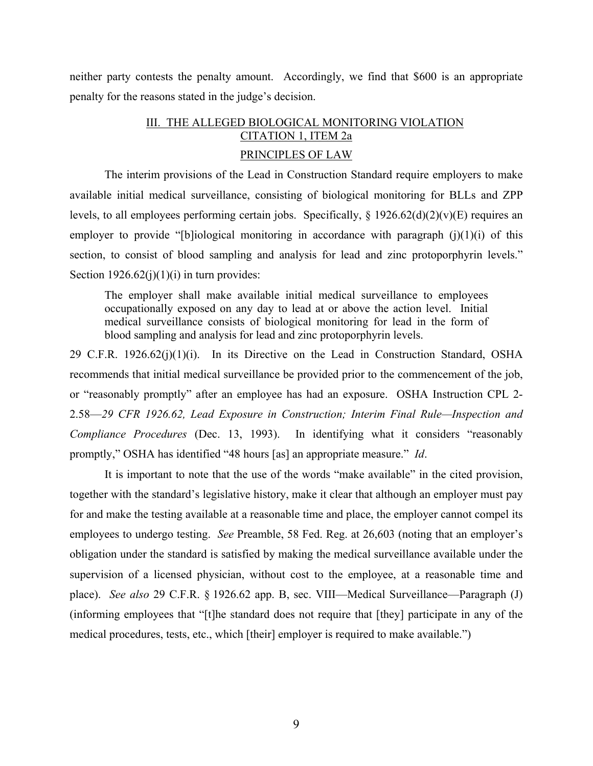neither party contests the penalty amount. Accordingly, we find that \$600 is an appropriate penalty for the reasons stated in the judge's decision.

# III. THE ALLEGED BIOLOGICAL MONITORING VIOLATION CITATION 1, ITEM 2a PRINCIPLES OF LAW

The interim provisions of the Lead in Construction Standard require employers to make available initial medical surveillance, consisting of biological monitoring for BLLs and ZPP levels, to all employees performing certain jobs. Specifically, § 1926.62(d)(2)(v)(E) requires an employer to provide "[b]iological monitoring in accordance with paragraph  $(i)(1)(i)$  of this section, to consist of blood sampling and analysis for lead and zinc protoporphyrin levels." Section  $1926.62(j)(1)(i)$  in turn provides:

The employer shall make available initial medical surveillance to employees occupationally exposed on any day to lead at or above the action level. Initial medical surveillance consists of biological monitoring for lead in the form of blood sampling and analysis for lead and zinc protoporphyrin levels.

29 C.F.R. 1926.62(j)(1)(i). In its Directive on the Lead in Construction Standard, OSHA recommends that initial medical surveillance be provided prior to the commencement of the job, or "reasonably promptly" after an employee has had an exposure. OSHA Instruction CPL 2 2.58—*29 CFR 1926.62, Lead Exposure in Construction; Interim Final Rule—Inspection and Compliance Procedures* (Dec. 13, 1993). In identifying what it considers "reasonably promptly," OSHA has identified "48 hours [as] an appropriate measure." *Id*.

It is important to note that the use of the words "make available" in the cited provision, together with the standard's legislative history, make it clear that although an employer must pay for and make the testing available at a reasonable time and place, the employer cannot compel its employees to undergo testing. *See* Preamble, 58 Fed. Reg. at 26,603 (noting that an employer's obligation under the standard is satisfied by making the medical surveillance available under the supervision of a licensed physician, without cost to the employee, at a reasonable time and place). *See also* 29 C.F.R. § 1926.62 app. B, sec. VIII—Medical Surveillance—Paragraph (J) (informing employees that "[t]he standard does not require that [they] participate in any of the medical procedures, tests, etc., which [their] employer is required to make available.")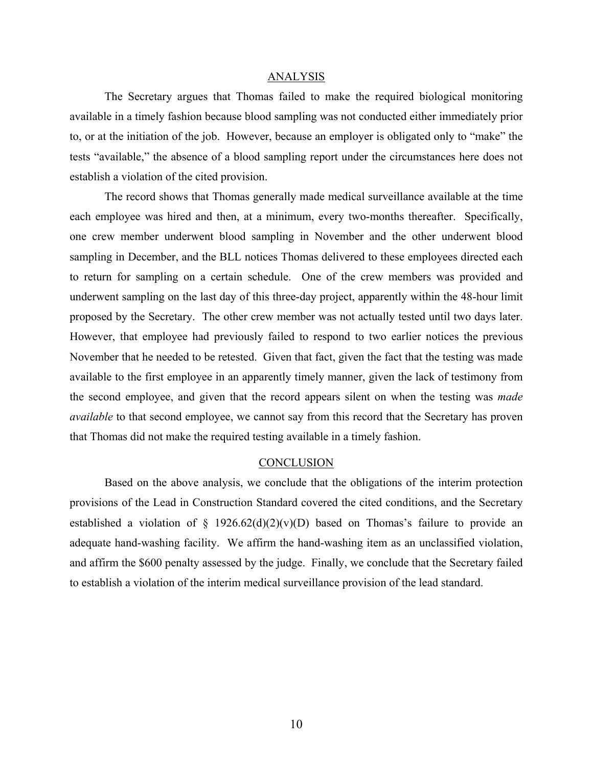#### ANALYSIS

The Secretary argues that Thomas failed to make the required biological monitoring available in a timely fashion because blood sampling was not conducted either immediately prior to, or at the initiation of the job. However, because an employer is obligated only to "make" the tests "available," the absence of a blood sampling report under the circumstances here does not establish a violation of the cited provision.

The record shows that Thomas generally made medical surveillance available at the time each employee was hired and then, at a minimum, every two-months thereafter. Specifically, one crew member underwent blood sampling in November and the other underwent blood sampling in December, and the BLL notices Thomas delivered to these employees directed each to return for sampling on a certain schedule. One of the crew members was provided and underwent sampling on the last day of this three-day project, apparently within the 48-hour limit proposed by the Secretary. The other crew member was not actually tested until two days later. However, that employee had previously failed to respond to two earlier notices the previous November that he needed to be retested. Given that fact, given the fact that the testing was made available to the first employee in an apparently timely manner, given the lack of testimony from the second employee, and given that the record appears silent on when the testing was *made available* to that second employee, we cannot say from this record that the Secretary has proven that Thomas did not make the required testing available in a timely fashion.

#### **CONCLUSION**

Based on the above analysis, we conclude that the obligations of the interim protection provisions of the Lead in Construction Standard covered the cited conditions, and the Secretary established a violation of  $\S$  1926.62(d)(2)(v)(D) based on Thomas's failure to provide an adequate hand-washing facility. We affirm the hand-washing item as an unclassified violation, and affirm the \$600 penalty assessed by the judge. Finally, we conclude that the Secretary failed to establish a violation of the interim medical surveillance provision of the lead standard.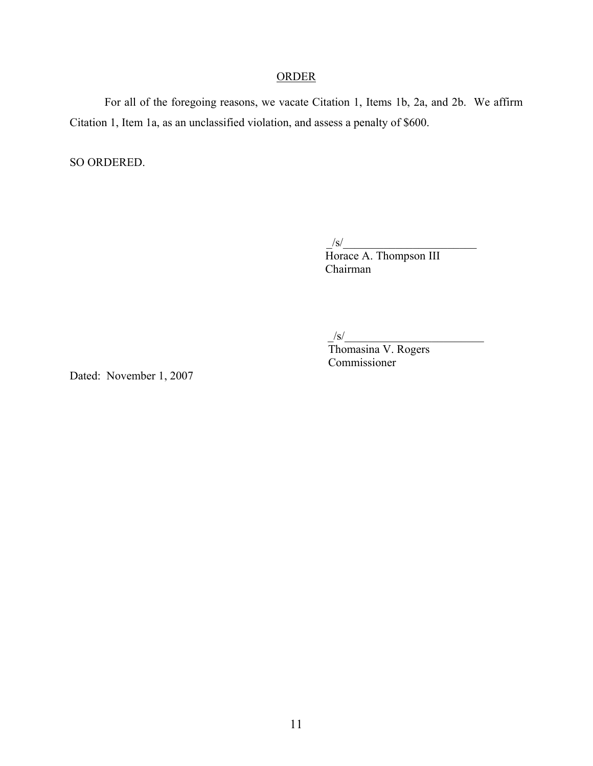# **ORDER**

For all of the foregoing reasons, we vacate Citation 1, Items 1b, 2a, and 2b. We affirm Citation 1, Item 1a, as an unclassified violation, and assess a penalty of \$600.

SO ORDERED.

 $/\mathrm{s}/$  Horace A. Thompson III Chairman

 $/S/$ 

 Thomasina V. Rogers Commissioner

Dated: November 1, 2007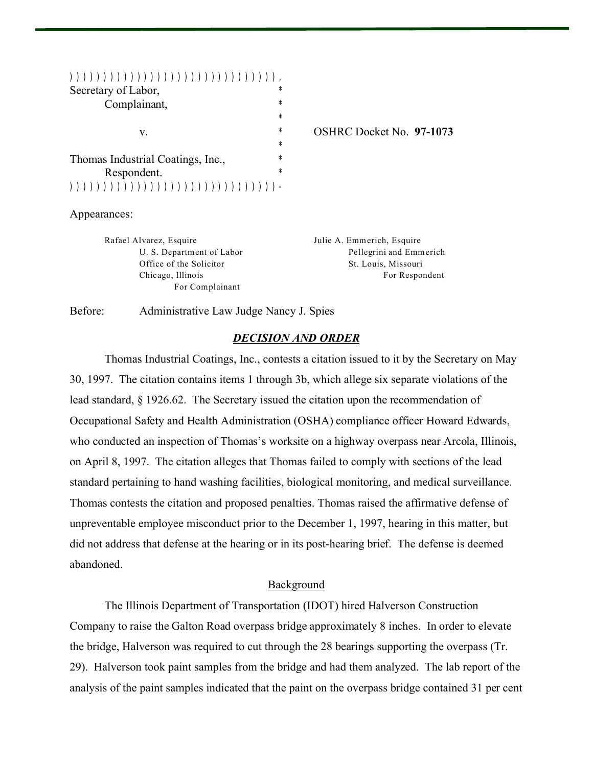| Secretary of Labor,               | $\star$  |                          |
|-----------------------------------|----------|--------------------------|
| Complainant,                      | $\star$  |                          |
|                                   | $\star$  |                          |
| v.                                | $^\star$ | OSHRC Docket No. 97-1073 |
|                                   | $^\star$ |                          |
| Thomas Industrial Coatings, Inc., | $^\star$ |                          |
| Respondent.                       | $\star$  |                          |
|                                   |          |                          |

Appearances:

Rafael Alvarez, Esquire **Maria Elias Esquire** Julie A. Emmerich, Esquire For Complainant

U. S. Department of Labor Pellegrini and Emmerich Office of the Solicitor St. Louis, Missouri Chicago, Illinois For Respondent

Before: Administrative Law Judge Nancy J. Spies

## *DECISION AND ORDER*

Thomas Industrial Coatings, Inc., contests a citation issued to it by the Secretary on May 30, 1997. The citation contains items 1 through 3b, which allege six separate violations of the lead standard, § 1926.62. The Secretary issued the citation upon the recommendation of Occupational Safety and Health Administration (OSHA) compliance officer Howard Edwards, who conducted an inspection of Thomas's worksite on a highway overpass near Arcola, Illinois, on April 8, 1997. The citation alleges that Thomas failed to comply with sections of the lead standard pertaining to hand washing facilities, biological monitoring, and medical surveillance. Thomas contests the citation and proposed penalties. Thomas raised the affirmative defense of unpreventable employee misconduct prior to the December 1, 1997, hearing in this matter, but did not address that defense at the hearing or in its post-hearing brief. The defense is deemed abandoned.

#### **Background**

The Illinois Department of Transportation (IDOT) hired Halverson Construction Company to raise the Galton Road overpass bridge approximately 8 inches. In order to elevate the bridge, Halverson was required to cut through the 28 bearings supporting the overpass (Tr. 29). Halverson took paint samples from the bridge and had them analyzed. The lab report of the analysis of the paint samples indicated that the paint on the overpass bridge contained 31 per cent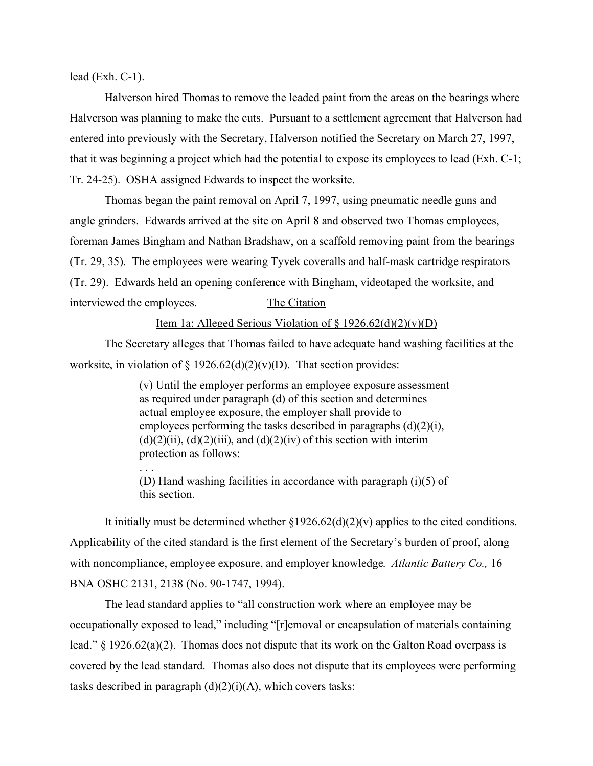lead (Exh.  $C-1$ ).

. . .

Halverson hired Thomas to remove the leaded paint from the areas on the bearings where Halverson was planning to make the cuts. Pursuant to a settlement agreement that Halverson had entered into previously with the Secretary, Halverson notified the Secretary on March 27, 1997, that it was beginning a project which had the potential to expose its employees to lead (Exh. C-1; Tr. 24-25). OSHA assigned Edwards to inspect the worksite.

Thomas began the paint removal on April 7, 1997, using pneumatic needle guns and angle grinders. Edwards arrived at the site on April 8 and observed two Thomas employees, foreman James Bingham and Nathan Bradshaw, on a scaffold removing paint from the bearings (Tr. 29, 35). The employees were wearing Tyvek coveralls and half-mask cartridge respirators (Tr. 29). Edwards held an opening conference with Bingham, videotaped the worksite, and interviewed the employees. The Citation

#### Item 1a: Alleged Serious Violation of  $\S 1926.62(d)(2)(v)(D)$

The Secretary alleges that Thomas failed to have adequate hand washing facilities at the worksite, in violation of § 1926.62(d)(2)(v)(D). That section provides:

> (v) Until the employer performs an employee exposure assessment as required under paragraph (d) of this section and determines actual employee exposure, the employer shall provide to employees performing the tasks described in paragraphs (d)(2)(i),  $(d)(2)(ii)$ ,  $(d)(2)(iii)$ , and  $(d)(2)(iv)$  of this section with interim protection as follows:

> (D) Hand washing facilities in accordance with paragraph (i)(5) of this section.

It initially must be determined whether  $\S 1926.62(d)(2)(v)$  applies to the cited conditions. Applicability of the cited standard is the first element of the Secretary's burden of proof, along with noncompliance, employee exposure, and employer knowledge. *Atlantic Battery Co.,* 16 BNA OSHC 2131, 2138 (No. 90-1747, 1994).

The lead standard applies to "all construction work where an employee may be occupationally exposed to lead," including "[r]emoval or encapsulation of materials containing lead." § 1926.62(a)(2). Thomas does not dispute that its work on the Galton Road overpass is covered by the lead standard. Thomas also does not dispute that its employees were performing tasks described in paragraph  $(d)(2)(i)(A)$ , which covers tasks: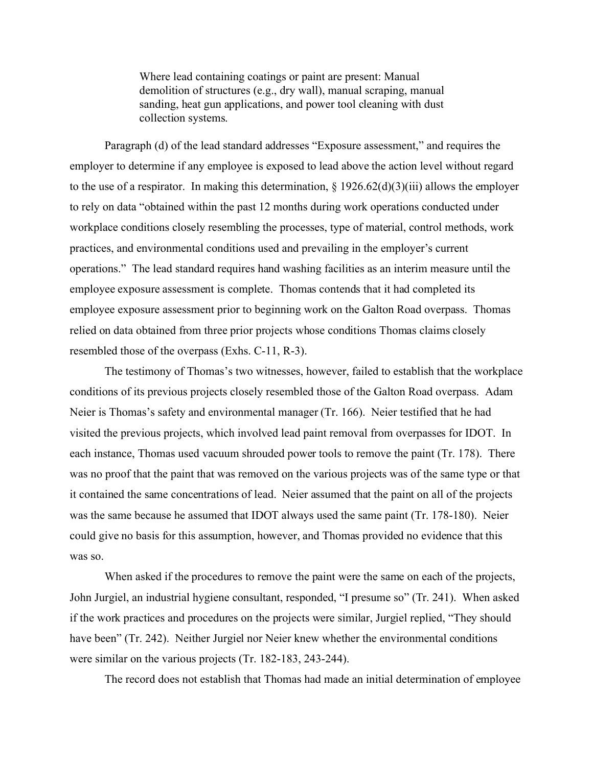Where lead containing coatings or paint are present: Manual demolition of structures (e.g., dry wall), manual scraping, manual sanding, heat gun applications, and power tool cleaning with dust collection systems.

Paragraph (d) of the lead standard addresses "Exposure assessment," and requires the employer to determine if any employee is exposed to lead above the action level without regard to the use of a respirator. In making this determination,  $\S 1926.62(d)(3)(iii)$  allows the employer to rely on data "obtained within the past 12 months during work operations conducted under workplace conditions closely resembling the processes, type of material, control methods, work practices, and environmental conditions used and prevailing in the employer's current operations." The lead standard requires hand washing facilities as an interim measure until the employee exposure assessment is complete. Thomas contends that it had completed its employee exposure assessment prior to beginning work on the Galton Road overpass. Thomas relied on data obtained from three prior projects whose conditions Thomas claims closely resembled those of the overpass (Exhs. C-11, R-3).

The testimony of Thomas's two witnesses, however, failed to establish that the workplace conditions of its previous projects closely resembled those of the Galton Road overpass. Adam Neier is Thomas's safety and environmental manager (Tr. 166). Neier testified that he had visited the previous projects, which involved lead paint removal from overpasses for IDOT. In each instance, Thomas used vacuum shrouded power tools to remove the paint (Tr. 178). There was no proof that the paint that was removed on the various projects was of the same type or that it contained the same concentrations of lead. Neier assumed that the paint on all of the projects was the same because he assumed that IDOT always used the same paint (Tr. 178-180). Neier could give no basis for this assumption, however, and Thomas provided no evidence that this was so.

When asked if the procedures to remove the paint were the same on each of the projects, John Jurgiel, an industrial hygiene consultant, responded, "I presume so" (Tr. 241). When asked if the work practices and procedures on the projects were similar, Jurgiel replied, "They should have been" (Tr. 242). Neither Jurgiel nor Neier knew whether the environmental conditions were similar on the various projects (Tr. 182-183, 243-244).

The record does not establish that Thomas had made an initial determination of employee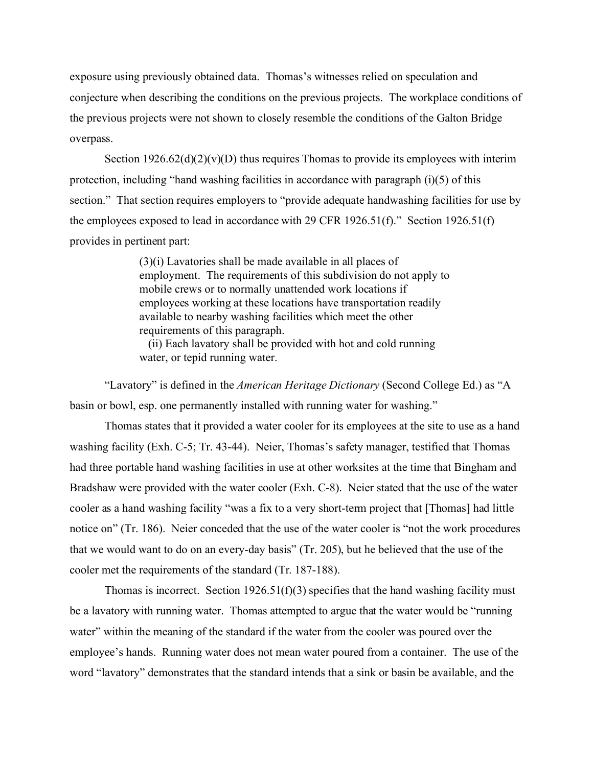exposure using previously obtained data. Thomas's witnesses relied on speculation and conjecture when describing the conditions on the previous projects. The workplace conditions of the previous projects were not shown to closely resemble the conditions of the Galton Bridge overpass.

Section  $1926.62(d)(2)(v)(D)$  thus requires Thomas to provide its employees with interim protection, including "hand washing facilities in accordance with paragraph (i)(5) of this section." That section requires employers to "provide adequate handwashing facilities for use by the employees exposed to lead in accordance with 29 CFR 1926.51(f)." Section 1926.51(f) provides in pertinent part:

> (3)(i) Lavatories shall be made available in all places of employment. The requirements of this subdivision do not apply to mobile crews or to normally unattended work locations if employees working at these locations have transportation readily available to nearby washing facilities which meet the other requirements of this paragraph.

 (ii) Each lavatory shall be provided with hot and cold running water, or tepid running water.

"Lavatory" is defined in the *American Heritage Dictionary* (Second College Ed.) as "A basin or bowl, esp. one permanently installed with running water for washing."

Thomas states that it provided a water cooler for its employees at the site to use as a hand washing facility (Exh. C-5; Tr. 43-44). Neier, Thomas's safety manager, testified that Thomas had three portable hand washing facilities in use at other worksites at the time that Bingham and Bradshaw were provided with the water cooler (Exh. C-8). Neier stated that the use of the water cooler as a hand washing facility "was a fix to a very short-term project that [Thomas] had little notice on" (Tr. 186). Neier conceded that the use of the water cooler is "not the work procedures that we would want to do on an every-day basis" (Tr. 205), but he believed that the use of the cooler met the requirements of the standard (Tr. 187-188).

Thomas is incorrect. Section  $1926.51(f)(3)$  specifies that the hand washing facility must be a lavatory with running water. Thomas attempted to argue that the water would be "running water" within the meaning of the standard if the water from the cooler was poured over the employee's hands. Running water does not mean water poured from a container. The use of the word "lavatory" demonstrates that the standard intends that a sink or basin be available, and the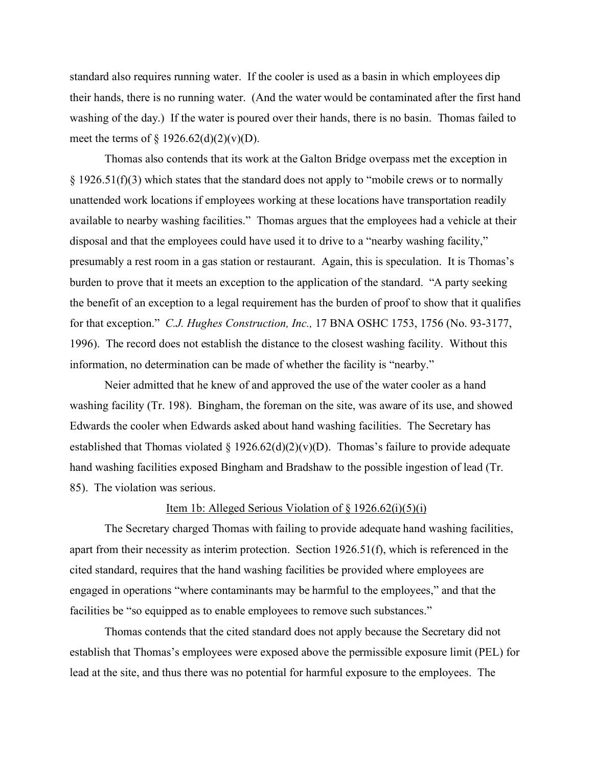standard also requires running water. If the cooler is used as a basin in which employees dip their hands, there is no running water. (And the water would be contaminated after the first hand washing of the day.) If the water is poured over their hands, there is no basin. Thomas failed to meet the terms of  $\S 1926.62(d)(2)(v)(D)$ .

Thomas also contends that its work at the Galton Bridge overpass met the exception in  $§$  1926.51(f)(3) which states that the standard does not apply to "mobile crews or to normally unattended work locations if employees working at these locations have transportation readily available to nearby washing facilities." Thomas argues that the employees had a vehicle at their disposal and that the employees could have used it to drive to a "nearby washing facility," presumably a rest room in a gas station or restaurant. Again, this is speculation. It is Thomas's burden to prove that it meets an exception to the application of the standard. "A party seeking the benefit of an exception to a legal requirement has the burden of proof to show that it qualifies for that exception." *C.J. Hughes Construction, Inc.,* 17 BNA OSHC 1753, 1756 (No. 93-3177, 1996). The record does not establish the distance to the closest washing facility. Without this information, no determination can be made of whether the facility is "nearby."

Neier admitted that he knew of and approved the use of the water cooler as a hand washing facility (Tr. 198). Bingham, the foreman on the site, was aware of its use, and showed Edwards the cooler when Edwards asked about hand washing facilities. The Secretary has established that Thomas violated § 1926.62(d)(2)(v)(D). Thomas's failure to provide adequate hand washing facilities exposed Bingham and Bradshaw to the possible ingestion of lead (Tr. 85). The violation was serious.

#### Item 1b: Alleged Serious Violation of  $\S 1926.62(i)(5)(i)$

The Secretary charged Thomas with failing to provide adequate hand washing facilities, apart from their necessity as interim protection. Section 1926.51(f), which is referenced in the cited standard, requires that the hand washing facilities be provided where employees are engaged in operations "where contaminants may be harmful to the employees," and that the facilities be "so equipped as to enable employees to remove such substances."

Thomas contends that the cited standard does not apply because the Secretary did not establish that Thomas's employees were exposed above the permissible exposure limit (PEL) for lead at the site, and thus there was no potential for harmful exposure to the employees. The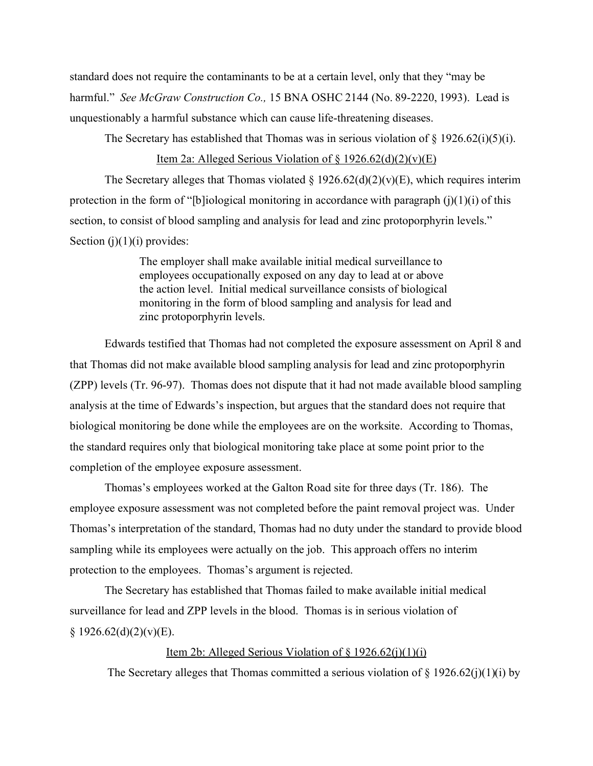standard does not require the contaminants to be at a certain level, only that they "may be harmful." *See McGraw Construction Co.,* 15 BNA OSHC 2144 (No. 89-2220, 1993). Lead is unquestionably a harmful substance which can cause life-threatening diseases.

The Secretary has established that Thomas was in serious violation of  $\S 1926.62(i)(5)(i)$ .

## Item 2a: Alleged Serious Violation of  $\S 1926.62(d)(2)(v)(E)$

The Secretary alleges that Thomas violated  $\S 1926.62(d)(2)(v)(E)$ , which requires interim protection in the form of "[b]iological monitoring in accordance with paragraph  $(i)(1)(i)$  of this section, to consist of blood sampling and analysis for lead and zinc protoporphyrin levels." Section  $(j)(1)(i)$  provides:

> The employer shall make available initial medical surveillance to employees occupationally exposed on any day to lead at or above the action level. Initial medical surveillance consists of biological monitoring in the form of blood sampling and analysis for lead and zinc protoporphyrin levels.

Edwards testified that Thomas had not completed the exposure assessment on April 8 and that Thomas did not make available blood sampling analysis for lead and zinc protoporphyrin (ZPP) levels (Tr. 96-97). Thomas does not dispute that it had not made available blood sampling analysis at the time of Edwards's inspection, but argues that the standard does not require that biological monitoring be done while the employees are on the worksite. According to Thomas, the standard requires only that biological monitoring take place at some point prior to the completion of the employee exposure assessment.

Thomas's employees worked at the Galton Road site for three days (Tr. 186). The employee exposure assessment was not completed before the paint removal project was. Under Thomas's interpretation of the standard, Thomas had no duty under the standard to provide blood sampling while its employees were actually on the job. This approach offers no interim protection to the employees. Thomas's argument is rejected.

The Secretary has established that Thomas failed to make available initial medical surveillance for lead and ZPP levels in the blood. Thomas is in serious violation of  $§ 1926.62(d)(2)(v)(E).$ 

### Item 2b: Alleged Serious Violation of  $\S 1926.62(i)(1)(i)$

The Secretary alleges that Thomas committed a serious violation of  $\S 1926.62(j)(1)(i)$  by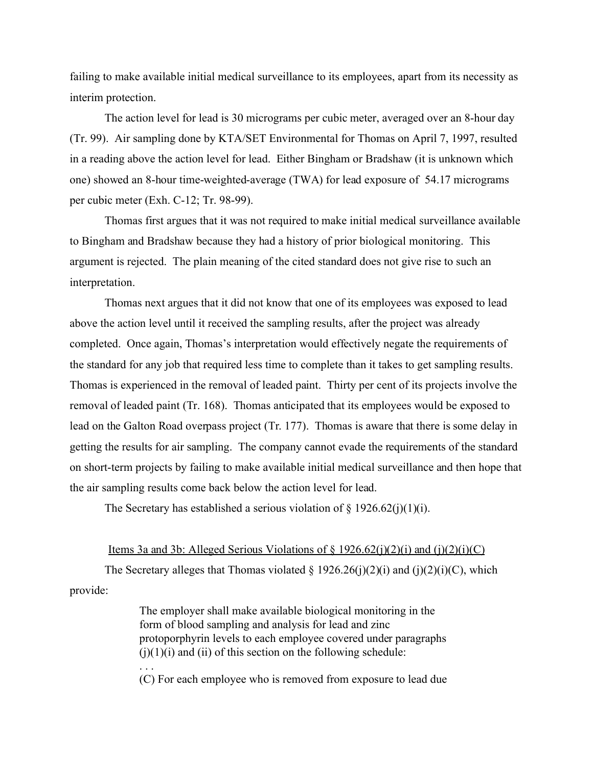failing to make available initial medical surveillance to its employees, apart from its necessity as interim protection.

The action level for lead is 30 micrograms per cubic meter, averaged over an 8-hour day (Tr. 99). Air sampling done by KTA/SET Environmental for Thomas on April 7, 1997, resulted in a reading above the action level for lead. Either Bingham or Bradshaw (it is unknown which one) showed an 8-hour time-weighted-average (TWA) for lead exposure of 54.17 micrograms per cubic meter (Exh. C-12; Tr. 98-99).

Thomas first argues that it was not required to make initial medical surveillance available to Bingham and Bradshaw because they had a history of prior biological monitoring. This argument is rejected. The plain meaning of the cited standard does not give rise to such an interpretation.

Thomas next argues that it did not know that one of its employees was exposed to lead above the action level until it received the sampling results, after the project was already completed. Once again, Thomas's interpretation would effectively negate the requirements of the standard for any job that required less time to complete than it takes to get sampling results. Thomas is experienced in the removal of leaded paint. Thirty per cent of its projects involve the removal of leaded paint (Tr. 168). Thomas anticipated that its employees would be exposed to lead on the Galton Road overpass project (Tr. 177). Thomas is aware that there is some delay in getting the results for air sampling. The company cannot evade the requirements of the standard on short-term projects by failing to make available initial medical surveillance and then hope that the air sampling results come back below the action level for lead.

The Secretary has established a serious violation of  $\S 1926.62(j)(1)(i)$ .

#### Items 3a and 3b: Alleged Serious Violations of  $\S 1926.62(j)(2)(i)$  and  $(j)(2)(i)(C)$

The Secretary alleges that Thomas violated § 1926.26(j)(2)(i) and (j)(2)(i)(C), which provide:

> The employer shall make available biological monitoring in the form of blood sampling and analysis for lead and zinc protoporphyrin levels to each employee covered under paragraphs  $(j)(1)(i)$  and  $(ii)$  of this section on the following schedule: . . .

> (C) For each employee who is removed from exposure to lead due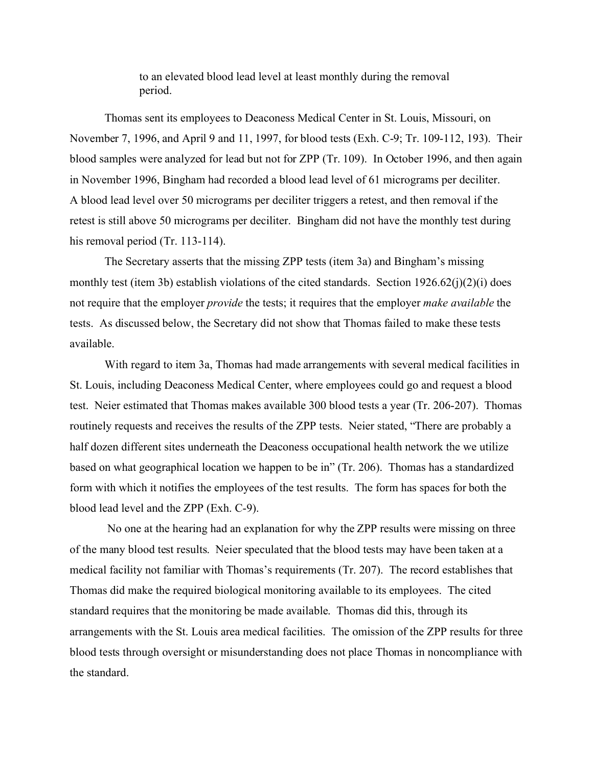to an elevated blood lead level at least monthly during the removal period.

Thomas sent its employees to Deaconess Medical Center in St. Louis, Missouri, on November 7, 1996, and April 9 and 11, 1997, for blood tests (Exh. C-9; Tr. 109-112, 193). Their blood samples were analyzed for lead but not for ZPP (Tr. 109). In October 1996, and then again in November 1996, Bingham had recorded a blood lead level of 61 micrograms per deciliter. A blood lead level over 50 micrograms per deciliter triggers a retest, and then removal if the retest is still above 50 micrograms per deciliter. Bingham did not have the monthly test during his removal period (Tr. 113-114).

The Secretary asserts that the missing ZPP tests (item 3a) and Bingham's missing monthly test (item 3b) establish violations of the cited standards. Section 1926.62(j)(2)(i) does not require that the employer *provide* the tests; it requires that the employer *make available* the tests. As discussed below, the Secretary did not show that Thomas failed to make these tests available.

With regard to item 3a, Thomas had made arrangements with several medical facilities in St. Louis, including Deaconess Medical Center, where employees could go and request a blood test. Neier estimated that Thomas makes available 300 blood tests a year (Tr. 206-207). Thomas routinely requests and receives the results of the ZPP tests. Neier stated, "There are probably a half dozen different sites underneath the Deaconess occupational health network the we utilize based on what geographical location we happen to be in" (Tr. 206). Thomas has a standardized form with which it notifies the employees of the test results. The form has spaces for both the blood lead level and the ZPP (Exh. C-9).

 No one at the hearing had an explanation for why the ZPP results were missing on three of the many blood test results. Neier speculated that the blood tests may have been taken at a medical facility not familiar with Thomas's requirements (Tr. 207). The record establishes that Thomas did make the required biological monitoring available to its employees. The cited standard requires that the monitoring be made available. Thomas did this, through its arrangements with the St. Louis area medical facilities. The omission of the ZPP results for three blood tests through oversight or misunderstanding does not place Thomas in noncompliance with the standard.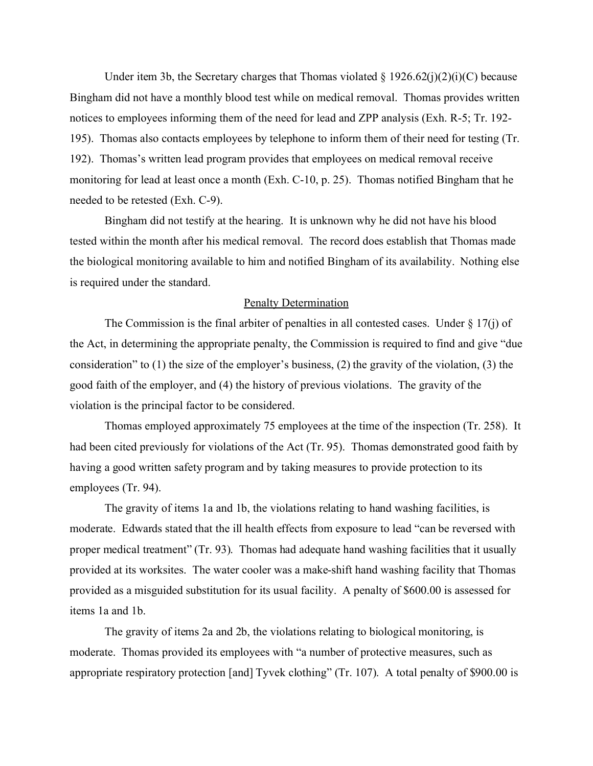Under item 3b, the Secretary charges that Thomas violated  $\S 1926.62(i)(2)(i)(C)$  because Bingham did not have a monthly blood test while on medical removal. Thomas provides written notices to employees informing them of the need for lead and ZPP analysis (Exh. R-5; Tr. 192- 195). Thomas also contacts employees by telephone to inform them of their need for testing (Tr. 192). Thomas's written lead program provides that employees on medical removal receive monitoring for lead at least once a month (Exh. C-10, p. 25). Thomas notified Bingham that he needed to be retested (Exh. C-9).

Bingham did not testify at the hearing. It is unknown why he did not have his blood tested within the month after his medical removal. The record does establish that Thomas made the biological monitoring available to him and notified Bingham of its availability. Nothing else is required under the standard.

#### Penalty Determination

The Commission is the final arbiter of penalties in all contested cases. Under  $\S 17(i)$  of the Act, in determining the appropriate penalty, the Commission is required to find and give "due consideration" to (1) the size of the employer's business, (2) the gravity of the violation, (3) the good faith of the employer, and (4) the history of previous violations. The gravity of the violation is the principal factor to be considered.

Thomas employed approximately 75 employees at the time of the inspection (Tr. 258). It had been cited previously for violations of the Act (Tr. 95). Thomas demonstrated good faith by having a good written safety program and by taking measures to provide protection to its employees (Tr. 94).

The gravity of items 1a and 1b, the violations relating to hand washing facilities, is moderate. Edwards stated that the ill health effects from exposure to lead "can be reversed with proper medical treatment" (Tr. 93). Thomas had adequate hand washing facilities that it usually provided at its worksites. The water cooler was a make-shift hand washing facility that Thomas provided as a misguided substitution for its usual facility. A penalty of \$600.00 is assessed for items 1a and 1b.

The gravity of items 2a and 2b, the violations relating to biological monitoring, is moderate. Thomas provided its employees with "a number of protective measures, such as appropriate respiratory protection [and] Tyvek clothing" (Tr. 107). A total penalty of \$900.00 is